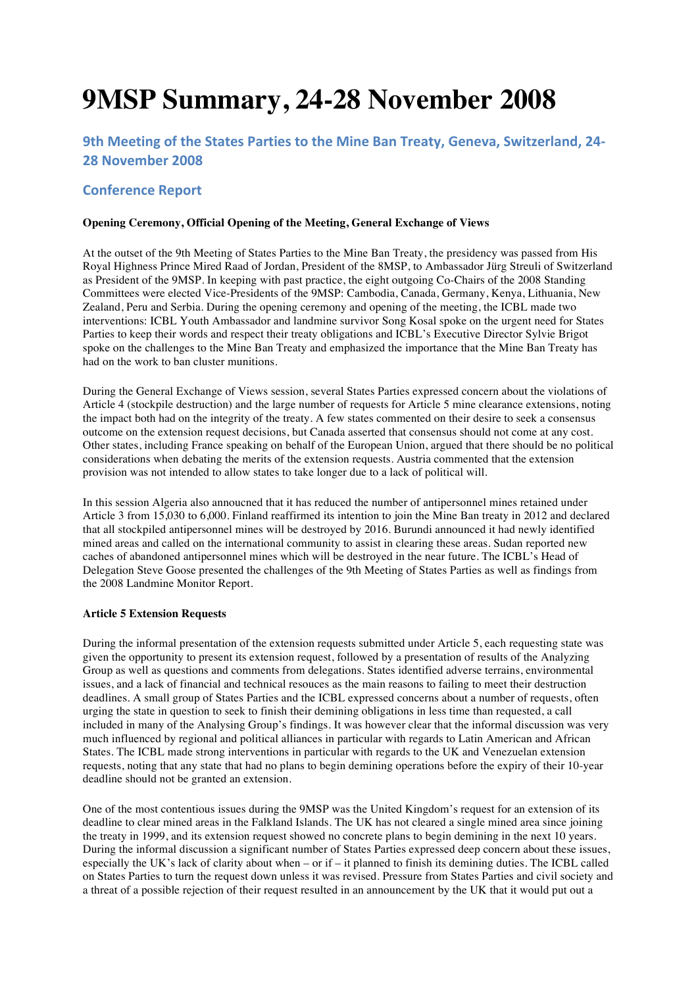# **9MSP Summary, 24-28 November 2008**

# **9th Meeting of the States Parties to the Mine Ban Treaty, Geneva, Switzerland, 24-28 November 2008**

# **Conference Report**

#### **Opening Ceremony, Official Opening of the Meeting, General Exchange of Views**

At the outset of the 9th Meeting of States Parties to the Mine Ban Treaty, the presidency was passed from His Royal Highness Prince Mired Raad of Jordan, President of the 8MSP, to Ambassador Jürg Streuli of Switzerland as President of the 9MSP. In keeping with past practice, the eight outgoing Co-Chairs of the 2008 Standing Committees were elected Vice-Presidents of the 9MSP: Cambodia, Canada, Germany, Kenya, Lithuania, New Zealand, Peru and Serbia. During the opening ceremony and opening of the meeting, the ICBL made two interventions: ICBL Youth Ambassador and landmine survivor Song Kosal spoke on the urgent need for States Parties to keep their words and respect their treaty obligations and ICBL's Executive Director Sylvie Brigot spoke on the challenges to the Mine Ban Treaty and emphasized the importance that the Mine Ban Treaty has had on the work to ban cluster munitions.

During the General Exchange of Views session, several States Parties expressed concern about the violations of Article 4 (stockpile destruction) and the large number of requests for Article 5 mine clearance extensions, noting the impact both had on the integrity of the treaty. A few states commented on their desire to seek a consensus outcome on the extension request decisions, but Canada asserted that consensus should not come at any cost. Other states, including France speaking on behalf of the European Union, argued that there should be no political considerations when debating the merits of the extension requests. Austria commented that the extension provision was not intended to allow states to take longer due to a lack of political will.

In this session Algeria also annoucned that it has reduced the number of antipersonnel mines retained under Article 3 from 15,030 to 6,000. Finland reaffirmed its intention to join the Mine Ban treaty in 2012 and declared that all stockpiled antipersonnel mines will be destroyed by 2016. Burundi announced it had newly identified mined areas and called on the international community to assist in clearing these areas. Sudan reported new caches of abandoned antipersonnel mines which will be destroyed in the near future. The ICBL's Head of Delegation Steve Goose presented the challenges of the 9th Meeting of States Parties as well as findings from the 2008 Landmine Monitor Report.

#### **Article 5 Extension Requests**

During the informal presentation of the extension requests submitted under Article 5, each requesting state was given the opportunity to present its extension request, followed by a presentation of results of the Analyzing Group as well as questions and comments from delegations. States identified adverse terrains, environmental issues, and a lack of financial and technical resouces as the main reasons to failing to meet their destruction deadlines. A small group of States Parties and the ICBL expressed concerns about a number of requests, often urging the state in question to seek to finish their demining obligations in less time than requested, a call included in many of the Analysing Group's findings. It was however clear that the informal discussion was very much influenced by regional and political alliances in particular with regards to Latin American and African States. The ICBL made strong interventions in particular with regards to the UK and Venezuelan extension requests, noting that any state that had no plans to begin demining operations before the expiry of their 10-year deadline should not be granted an extension.

One of the most contentious issues during the 9MSP was the United Kingdom's request for an extension of its deadline to clear mined areas in the Falkland Islands. The UK has not cleared a single mined area since joining the treaty in 1999, and its extension request showed no concrete plans to begin demining in the next 10 years. During the informal discussion a significant number of States Parties expressed deep concern about these issues, especially the UK's lack of clarity about when – or if – it planned to finish its demining duties. The ICBL called on States Parties to turn the request down unless it was revised. Pressure from States Parties and civil society and a threat of a possible rejection of their request resulted in an announcement by the UK that it would put out a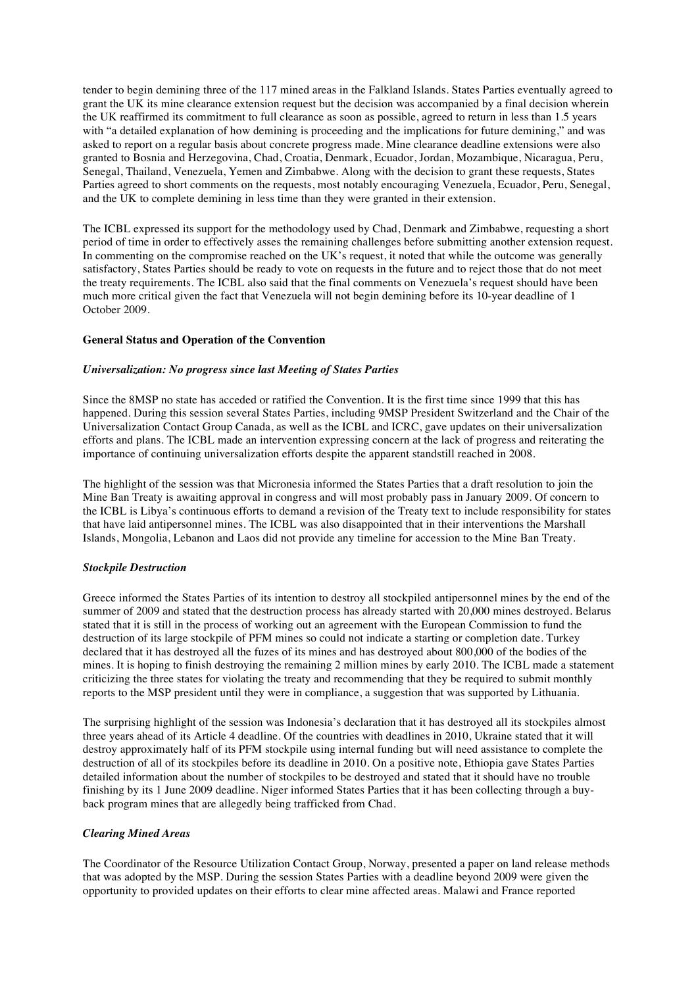tender to begin demining three of the 117 mined areas in the Falkland Islands. States Parties eventually agreed to grant the UK its mine clearance extension request but the decision was accompanied by a final decision wherein the UK reaffirmed its commitment to full clearance as soon as possible, agreed to return in less than 1.5 years with "a detailed explanation of how demining is proceeding and the implications for future demining," and was asked to report on a regular basis about concrete progress made. Mine clearance deadline extensions were also granted to Bosnia and Herzegovina, Chad, Croatia, Denmark, Ecuador, Jordan, Mozambique, Nicaragua, Peru, Senegal, Thailand, Venezuela, Yemen and Zimbabwe. Along with the decision to grant these requests, States Parties agreed to short comments on the requests, most notably encouraging Venezuela, Ecuador, Peru, Senegal, and the UK to complete demining in less time than they were granted in their extension.

The ICBL expressed its support for the methodology used by Chad, Denmark and Zimbabwe, requesting a short period of time in order to effectively asses the remaining challenges before submitting another extension request. In commenting on the compromise reached on the UK's request, it noted that while the outcome was generally satisfactory, States Parties should be ready to vote on requests in the future and to reject those that do not meet the treaty requirements. The ICBL also said that the final comments on Venezuela's request should have been much more critical given the fact that Venezuela will not begin demining before its 10-year deadline of 1 October 2009.

#### **General Status and Operation of the Convention**

#### *Universalization: No progress since last Meeting of States Parties*

Since the 8MSP no state has acceded or ratified the Convention. It is the first time since 1999 that this has happened. During this session several States Parties, including 9MSP President Switzerland and the Chair of the Universalization Contact Group Canada, as well as the ICBL and ICRC, gave updates on their universalization efforts and plans. The ICBL made an intervention expressing concern at the lack of progress and reiterating the importance of continuing universalization efforts despite the apparent standstill reached in 2008.

The highlight of the session was that Micronesia informed the States Parties that a draft resolution to join the Mine Ban Treaty is awaiting approval in congress and will most probably pass in January 2009. Of concern to the ICBL is Libya's continuous efforts to demand a revision of the Treaty text to include responsibility for states that have laid antipersonnel mines. The ICBL was also disappointed that in their interventions the Marshall Islands, Mongolia, Lebanon and Laos did not provide any timeline for accession to the Mine Ban Treaty.

#### *Stockpile Destruction*

Greece informed the States Parties of its intention to destroy all stockpiled antipersonnel mines by the end of the summer of 2009 and stated that the destruction process has already started with 20,000 mines destroyed. Belarus stated that it is still in the process of working out an agreement with the European Commission to fund the destruction of its large stockpile of PFM mines so could not indicate a starting or completion date. Turkey declared that it has destroyed all the fuzes of its mines and has destroyed about 800,000 of the bodies of the mines. It is hoping to finish destroying the remaining 2 million mines by early 2010. The ICBL made a statement criticizing the three states for violating the treaty and recommending that they be required to submit monthly reports to the MSP president until they were in compliance, a suggestion that was supported by Lithuania.

The surprising highlight of the session was Indonesia's declaration that it has destroyed all its stockpiles almost three years ahead of its Article 4 deadline. Of the countries with deadlines in 2010, Ukraine stated that it will destroy approximately half of its PFM stockpile using internal funding but will need assistance to complete the destruction of all of its stockpiles before its deadline in 2010. On a positive note, Ethiopia gave States Parties detailed information about the number of stockpiles to be destroyed and stated that it should have no trouble finishing by its 1 June 2009 deadline. Niger informed States Parties that it has been collecting through a buyback program mines that are allegedly being trafficked from Chad.

#### *Clearing Mined Areas*

The Coordinator of the Resource Utilization Contact Group, Norway, presented a paper on land release methods that was adopted by the MSP. During the session States Parties with a deadline beyond 2009 were given the opportunity to provided updates on their efforts to clear mine affected areas. Malawi and France reported